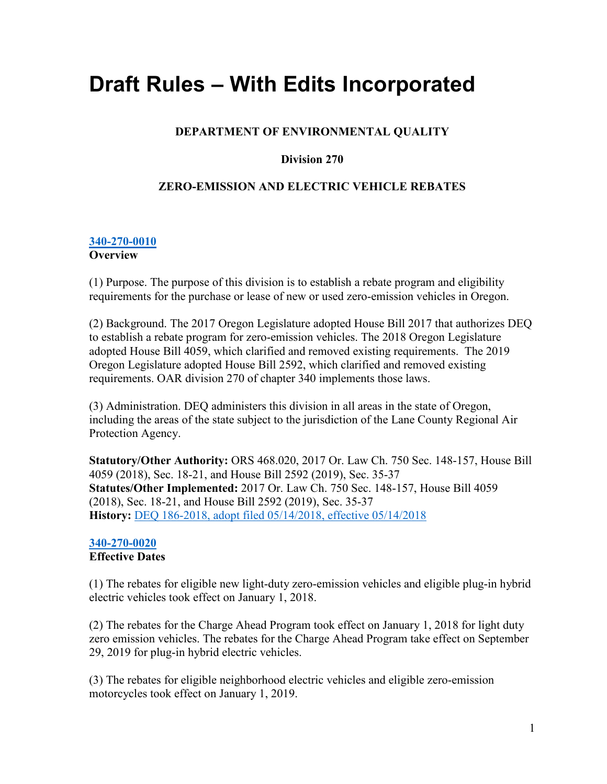# **Draft Rules – With Edits Incorporated**

# **DEPARTMENT OF ENVIRONMENTAL QUALITY**

# **Division 270**

# **ZERO-EMISSION AND ELECTRIC VEHICLE REBATES**

#### **[340-270-0010](https://secure.sos.state.or.us/oard/viewSingleRule.action?ruleVrsnRsn=244920) Overview**

(1) Purpose. The purpose of this division is to establish a rebate program and eligibility requirements for the purchase or lease of new or used zero-emission vehicles in Oregon.

(2) Background. The 2017 Oregon Legislature adopted House Bill 2017 that authorizes DEQ to establish a rebate program for zero-emission vehicles. The 2018 Oregon Legislature adopted House Bill 4059, which clarified and removed existing requirements. The 2019 Oregon Legislature adopted House Bill 2592, which clarified and removed existing requirements. OAR division 270 of chapter 340 implements those laws.

(3) Administration. DEQ administers this division in all areas in the state of Oregon, including the areas of the state subject to the jurisdiction of the Lane County Regional Air Protection Agency.

**Statutory/Other Authority:** ORS 468.020, 2017 Or. Law Ch. 750 Sec. 148-157, House Bill 4059 (2018), Sec. 18-21, and House Bill 2592 (2019), Sec. 35-37 **Statutes/Other Implemented:** 2017 Or. Law Ch. 750 Sec. 148-157, House Bill 4059 (2018), Sec. 18-21, and House Bill 2592 (2019), Sec. 35-37 **History:** [DEQ 186-2018, adopt filed 05/14/2018, effective 05/14/2018](https://secure.sos.state.or.us/oard/viewReceiptPDF.action?filingRsn=37756)

# **[340-270-0020](https://secure.sos.state.or.us/oard/viewSingleRule.action?ruleVrsnRsn=244921) Effective Dates**

(1) The rebates for eligible new light-duty zero-emission vehicles and eligible plug-in hybrid electric vehicles took effect on January 1, 2018.

(2) The rebates for the Charge Ahead Program took effect on January 1, 2018 for light duty zero emission vehicles. The rebates for the Charge Ahead Program take effect on September 29, 2019 for plug-in hybrid electric vehicles.

(3) The rebates for eligible neighborhood electric vehicles and eligible zero-emission motorcycles took effect on January 1, 2019.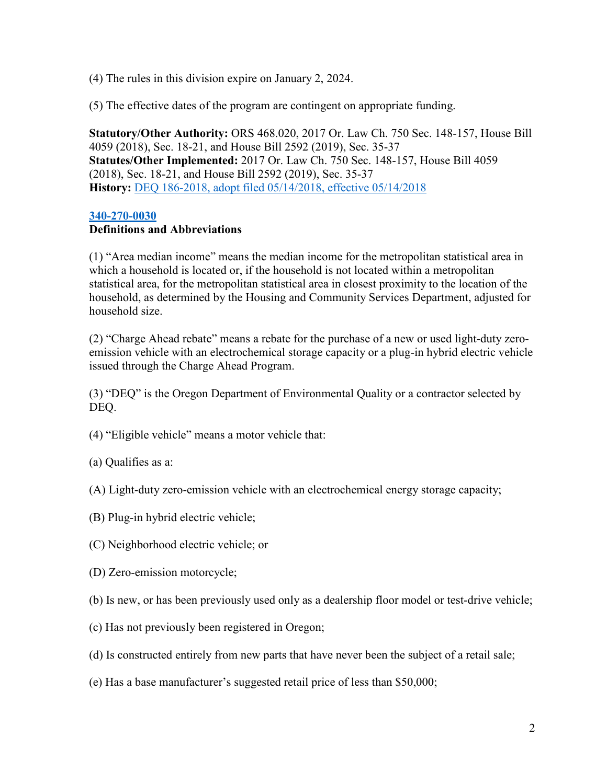(4) The rules in this division expire on January 2, 2024.

(5) The effective dates of the program are contingent on appropriate funding.

**Statutory/Other Authority:** ORS 468.020, 2017 Or. Law Ch. 750 Sec. 148-157, House Bill 4059 (2018), Sec. 18-21, and House Bill 2592 (2019), Sec. 35-37 **Statutes/Other Implemented:** 2017 Or. Law Ch. 750 Sec. 148-157, House Bill 4059 (2018), Sec. 18-21, and House Bill 2592 (2019), Sec. 35-37 **History:** [DEQ 186-2018, adopt filed 05/14/2018, effective 05/14/2018](https://secure.sos.state.or.us/oard/viewReceiptPDF.action?filingRsn=37756)

#### **[340-270-0030](https://secure.sos.state.or.us/oard/viewSingleRule.action?ruleVrsnRsn=253449)**

### **Definitions and Abbreviations**

(1) "Area median income" means the median income for the metropolitan statistical area in which a household is located or, if the household is not located within a metropolitan statistical area, for the metropolitan statistical area in closest proximity to the location of the household, as determined by the Housing and Community Services Department, adjusted for household size.

(2) "Charge Ahead rebate" means a rebate for the purchase of a new or used light-duty zeroemission vehicle with an electrochemical storage capacity or a plug-in hybrid electric vehicle issued through the Charge Ahead Program.

(3) "DEQ" is the Oregon Department of Environmental Quality or a contractor selected by DEQ.

- (4) "Eligible vehicle" means a motor vehicle that:
- (a) Qualifies as a:
- (A) Light-duty zero-emission vehicle with an electrochemical energy storage capacity;
- (B) Plug-in hybrid electric vehicle;
- (C) Neighborhood electric vehicle; or
- (D) Zero-emission motorcycle;
- (b) Is new, or has been previously used only as a dealership floor model or test-drive vehicle;
- (c) Has not previously been registered in Oregon;
- (d) Is constructed entirely from new parts that have never been the subject of a retail sale;
- (e) Has a base manufacturer's suggested retail price of less than \$50,000;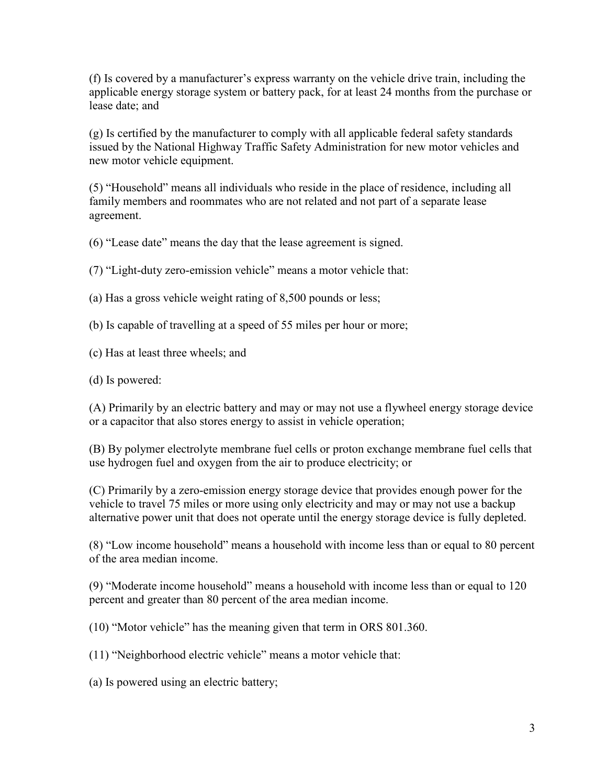(f) Is covered by a manufacturer's express warranty on the vehicle drive train, including the applicable energy storage system or battery pack, for at least 24 months from the purchase or lease date; and

(g) Is certified by the manufacturer to comply with all applicable federal safety standards issued by the National Highway Traffic Safety Administration for new motor vehicles and new motor vehicle equipment.

(5) "Household" means all individuals who reside in the place of residence, including all family members and roommates who are not related and not part of a separate lease agreement.

(6) "Lease date" means the day that the lease agreement is signed.

(7) "Light-duty zero-emission vehicle" means a motor vehicle that:

(a) Has a gross vehicle weight rating of 8,500 pounds or less;

(b) Is capable of travelling at a speed of 55 miles per hour or more;

(c) Has at least three wheels; and

(d) Is powered:

(A) Primarily by an electric battery and may or may not use a flywheel energy storage device or a capacitor that also stores energy to assist in vehicle operation;

(B) By polymer electrolyte membrane fuel cells or proton exchange membrane fuel cells that use hydrogen fuel and oxygen from the air to produce electricity; or

(C) Primarily by a zero-emission energy storage device that provides enough power for the vehicle to travel 75 miles or more using only electricity and may or may not use a backup alternative power unit that does not operate until the energy storage device is fully depleted.

(8) "Low income household" means a household with income less than or equal to 80 percent of the area median income.

(9) "Moderate income household" means a household with income less than or equal to 120 percent and greater than 80 percent of the area median income.

(10) "Motor vehicle" has the meaning given that term in ORS 801.360.

(11) "Neighborhood electric vehicle" means a motor vehicle that:

(a) Is powered using an electric battery;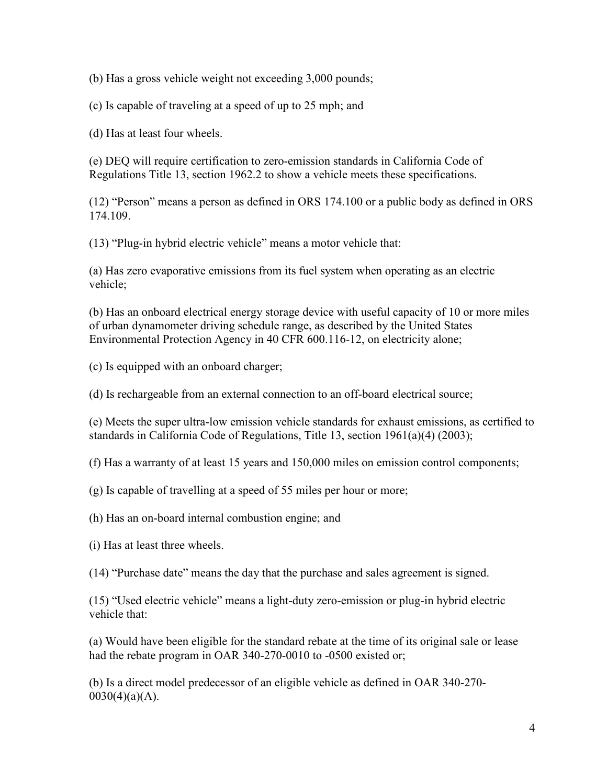(b) Has a gross vehicle weight not exceeding 3,000 pounds;

(c) Is capable of traveling at a speed of up to 25 mph; and

(d) Has at least four wheels.

(e) DEQ will require certification to zero-emission standards in California Code of Regulations Title 13, section 1962.2 to show a vehicle meets these specifications.

(12) "Person" means a person as defined in ORS 174.100 or a public body as defined in ORS 174.109.

(13) "Plug-in hybrid electric vehicle" means a motor vehicle that:

(a) Has zero evaporative emissions from its fuel system when operating as an electric vehicle;

(b) Has an onboard electrical energy storage device with useful capacity of 10 or more miles of urban dynamometer driving schedule range, as described by the United States Environmental Protection Agency in 40 CFR 600.116-12, on electricity alone;

(c) Is equipped with an onboard charger;

(d) Is rechargeable from an external connection to an off-board electrical source;

(e) Meets the super ultra-low emission vehicle standards for exhaust emissions, as certified to standards in California Code of Regulations, Title 13, section 1961(a)(4) (2003);

(f) Has a warranty of at least 15 years and 150,000 miles on emission control components;

(g) Is capable of travelling at a speed of 55 miles per hour or more;

(h) Has an on-board internal combustion engine; and

(i) Has at least three wheels.

(14) "Purchase date" means the day that the purchase and sales agreement is signed.

(15) "Used electric vehicle" means a light-duty zero-emission or plug-in hybrid electric vehicle that:

(a) Would have been eligible for the standard rebate at the time of its original sale or lease had the rebate program in OAR 340-270-0010 to -0500 existed or;

(b) Is a direct model predecessor of an eligible vehicle as defined in OAR 340-270-  $0030(4)(a)(A)$ .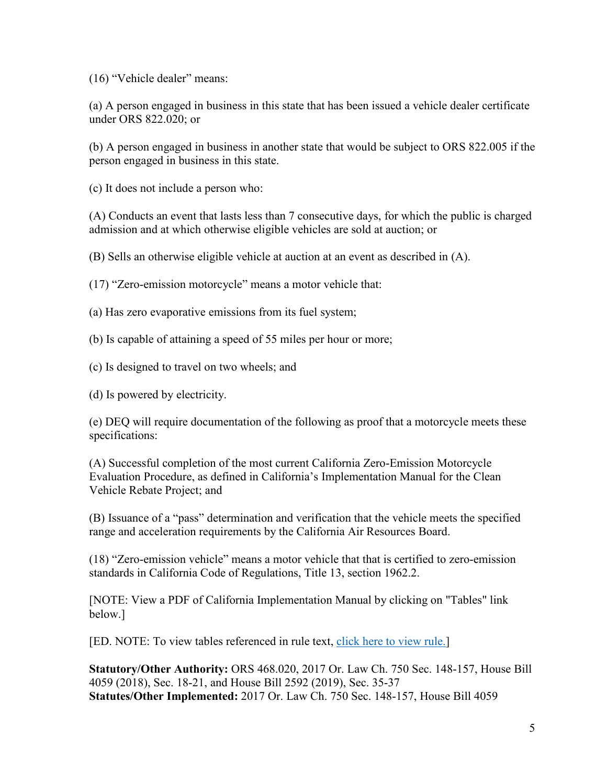(16) "Vehicle dealer" means:

(a) A person engaged in business in this state that has been issued a vehicle dealer certificate under ORS 822.020; or

(b) A person engaged in business in another state that would be subject to ORS 822.005 if the person engaged in business in this state.

(c) It does not include a person who:

(A) Conducts an event that lasts less than 7 consecutive days, for which the public is charged admission and at which otherwise eligible vehicles are sold at auction; or

(B) Sells an otherwise eligible vehicle at auction at an event as described in (A).

(17) "Zero-emission motorcycle" means a motor vehicle that:

(a) Has zero evaporative emissions from its fuel system;

(b) Is capable of attaining a speed of 55 miles per hour or more;

(c) Is designed to travel on two wheels; and

(d) Is powered by electricity.

(e) DEQ will require documentation of the following as proof that a motorcycle meets these specifications:

(A) Successful completion of the most current California Zero-Emission Motorcycle Evaluation Procedure, as defined in California's Implementation Manual for the Clean Vehicle Rebate Project; and

(B) Issuance of a "pass" determination and verification that the vehicle meets the specified range and acceleration requirements by the California Air Resources Board.

(18) "Zero-emission vehicle" means a motor vehicle that that is certified to zero-emission standards in California Code of Regulations, Title 13, section 1962.2.

[NOTE: View a PDF of California Implementation Manual by clicking on "Tables" link below.]

[ED. NOTE: To view tables referenced in rule text, [click here to view rule.\]](https://secure.sos.state.or.us/oard/viewSingleRule.action?ruleVrsnRsn=253449)

**Statutory/Other Authority:** ORS 468.020, 2017 Or. Law Ch. 750 Sec. 148-157, House Bill 4059 (2018), Sec. 18-21, and House Bill 2592 (2019), Sec. 35-37 **Statutes/Other Implemented:** 2017 Or. Law Ch. 750 Sec. 148-157, House Bill 4059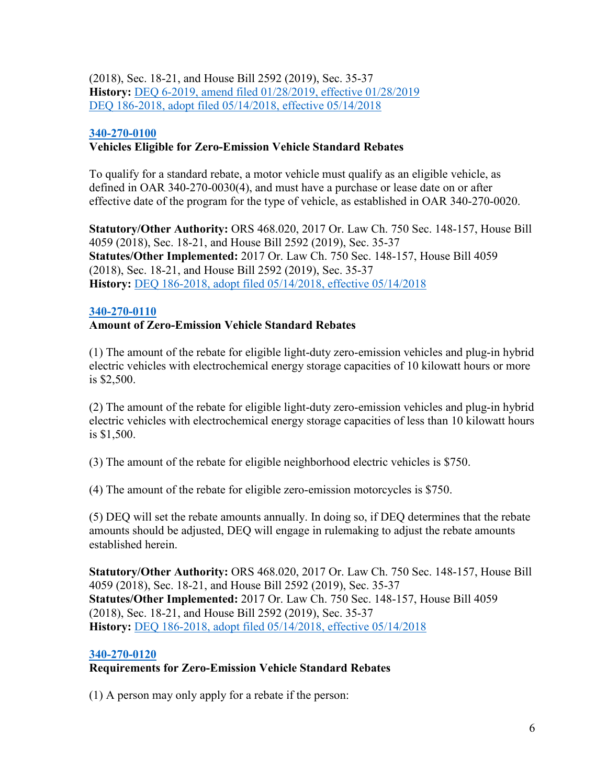(2018), Sec. 18-21, and House Bill 2592 (2019), Sec. 35-37 **History:** [DEQ 6-2019, amend filed 01/28/2019, effective 01/28/2019](https://secure.sos.state.or.us/oard/viewReceiptPDF.action?filingRsn=40443) [DEQ 186-2018, adopt filed 05/14/2018, effective 05/14/2018](https://secure.sos.state.or.us/oard/viewReceiptPDF.action?filingRsn=37756)

## **[340-270-0100](https://secure.sos.state.or.us/oard/viewSingleRule.action?ruleVrsnRsn=244923)**

## **Vehicles Eligible for Zero-Emission Vehicle Standard Rebates**

To qualify for a standard rebate, a motor vehicle must qualify as an eligible vehicle, as defined in OAR 340-270-0030(4), and must have a purchase or lease date on or after effective date of the program for the type of vehicle, as established in OAR 340-270-0020.

**Statutory/Other Authority:** ORS 468.020, 2017 Or. Law Ch. 750 Sec. 148-157, House Bill 4059 (2018), Sec. 18-21, and House Bill 2592 (2019), Sec. 35-37 **Statutes/Other Implemented:** 2017 Or. Law Ch. 750 Sec. 148-157, House Bill 4059 (2018), Sec. 18-21, and House Bill 2592 (2019), Sec. 35-37 **History:** [DEQ 186-2018, adopt filed 05/14/2018, effective 05/14/2018](https://secure.sos.state.or.us/oard/viewReceiptPDF.action?filingRsn=37756)

#### **[340-270-0110](https://secure.sos.state.or.us/oard/viewSingleRule.action?ruleVrsnRsn=244924)**

# **Amount of Zero-Emission Vehicle Standard Rebates**

(1) The amount of the rebate for eligible light-duty zero-emission vehicles and plug-in hybrid electric vehicles with electrochemical energy storage capacities of 10 kilowatt hours or more is \$2,500.

(2) The amount of the rebate for eligible light-duty zero-emission vehicles and plug-in hybrid electric vehicles with electrochemical energy storage capacities of less than 10 kilowatt hours is \$1,500.

(3) The amount of the rebate for eligible neighborhood electric vehicles is \$750.

(4) The amount of the rebate for eligible zero-emission motorcycles is \$750.

(5) DEQ will set the rebate amounts annually. In doing so, if DEQ determines that the rebate amounts should be adjusted, DEQ will engage in rulemaking to adjust the rebate amounts established herein.

**Statutory/Other Authority:** ORS 468.020, 2017 Or. Law Ch. 750 Sec. 148-157, House Bill 4059 (2018), Sec. 18-21, and House Bill 2592 (2019), Sec. 35-37 **Statutes/Other Implemented:** 2017 Or. Law Ch. 750 Sec. 148-157, House Bill 4059 (2018), Sec. 18-21, and House Bill 2592 (2019), Sec. 35-37 **History:** [DEQ 186-2018, adopt filed 05/14/2018, effective 05/14/2018](https://secure.sos.state.or.us/oard/viewReceiptPDF.action?filingRsn=37756)

#### **[340-270-0120](https://secure.sos.state.or.us/oard/viewSingleRule.action?ruleVrsnRsn=244925)**

# **Requirements for Zero-Emission Vehicle Standard Rebates**

(1) A person may only apply for a rebate if the person: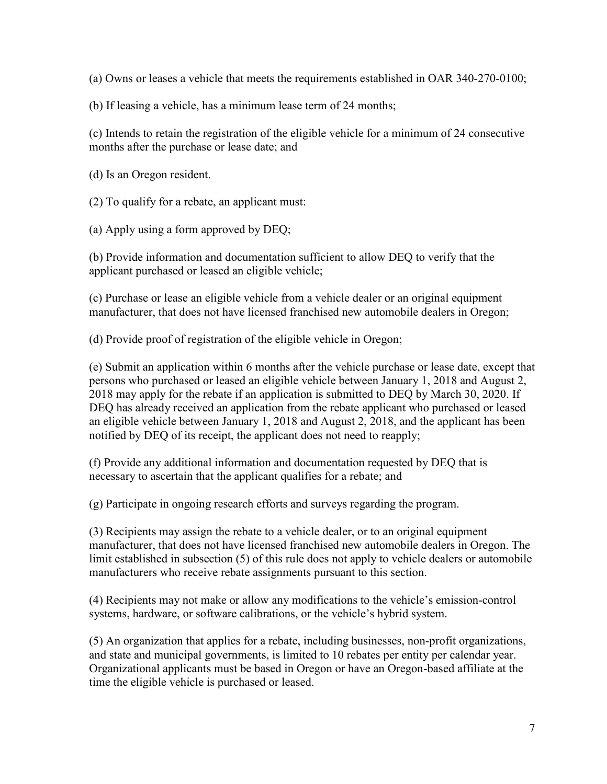(a) Owns or leases a vehicle that meets the requirements established in OAR 340-270-0100;

(b) If leasing a vehicle, has a minimum lease term of 24 months;

(c) Intends to retain the registration of the eligible vehicle for a minimum of 24 consecutive months after the purchase or lease date; and

(d) Is an Oregon resident.

(2) To qualify for a rebate, an applicant must:

(a) Apply using a form approved by DEQ;

(b) Provide information and documentation sufficient to allow DEQ to verify that the applicant purchased or leased an eligible vehicle;

(c) Purchase or lease an eligible vehicle from a vehicle dealer or an original equipment manufacturer, that does not have licensed franchised new automobile dealers in Oregon;

(d) Provide proof of registration of the eligible vehicle in Oregon;

(e) Submit an application within 6 months after the vehicle purchase or lease date, except that persons who purchased or leased an eligible vehicle between January 1, 2018 and August 2, 2018 may apply for the rebate if an application is submitted to DEQ by March 30, 2020. If DEQ has already received an application from the rebate applicant who purchased or leased an eligible vehicle between January 1, 2018 and August 2, 2018, and the applicant has been notified by DEQ of its receipt, the applicant does not need to reapply;

(f) Provide any additional information and documentation requested by DEQ that is necessary to ascertain that the applicant qualifies for a rebate; and

(g) Participate in ongoing research efforts and surveys regarding the program.

(3) Recipients may assign the rebate to a vehicle dealer, or to an original equipment manufacturer, that does not have licensed franchised new automobile dealers in Oregon. The limit established in subsection (5) of this rule does not apply to vehicle dealers or automobile manufacturers who receive rebate assignments pursuant to this section.

(4) Recipients may not make or allow any modifications to the vehicle's emission-control systems, hardware, or software calibrations, or the vehicle's hybrid system.

(5) An organization that applies for a rebate, including businesses, non-profit organizations, and state and municipal governments, is limited to 10 rebates per entity per calendar year. Organizational applicants must be based in Oregon or have an Oregon-based affiliate at the time the eligible vehicle is purchased or leased.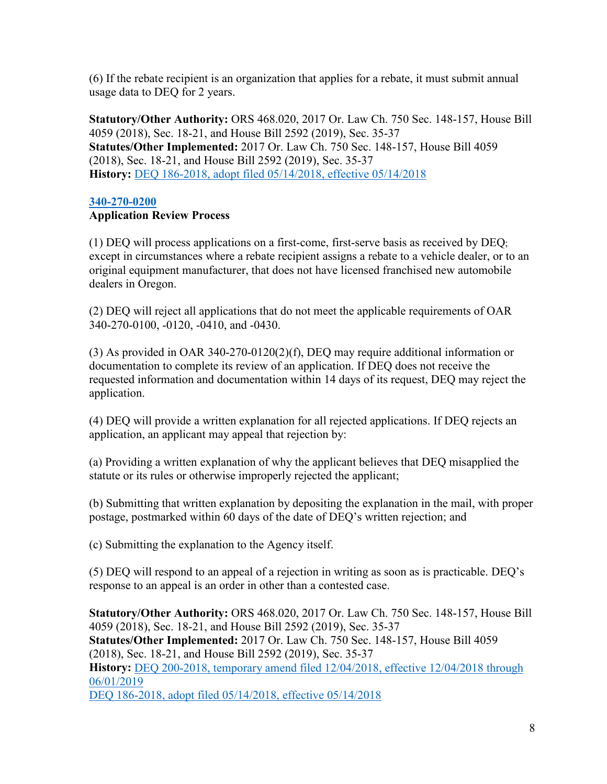(6) If the rebate recipient is an organization that applies for a rebate, it must submit annual usage data to DEQ for 2 years.

**Statutory/Other Authority:** ORS 468.020, 2017 Or. Law Ch. 750 Sec. 148-157, House Bill 4059 (2018), Sec. 18-21, and House Bill 2592 (2019), Sec. 35-37 **Statutes/Other Implemented:** 2017 Or. Law Ch. 750 Sec. 148-157, House Bill 4059 (2018), Sec. 18-21, and House Bill 2592 (2019), Sec. 35-37 **History:** [DEQ 186-2018, adopt filed 05/14/2018, effective 05/14/2018](https://secure.sos.state.or.us/oard/viewReceiptPDF.action?filingRsn=37756)

## **[340-270-0200](https://secure.sos.state.or.us/oard/viewSingleRule.action?ruleVrsnRsn=244926)**

# **Application Review Process**

(1) DEQ will process applications on a first-come, first-serve basis as received by DEQ; except in circumstances where a rebate recipient assigns a rebate to a vehicle dealer, or to an original equipment manufacturer, that does not have licensed franchised new automobile dealers in Oregon.

(2) DEQ will reject all applications that do not meet the applicable requirements of OAR 340-270-0100, -0120, -0410, and -0430.

(3) As provided in OAR 340-270-0120(2)(f), DEQ may require additional information or documentation to complete its review of an application. If DEQ does not receive the requested information and documentation within 14 days of its request, DEQ may reject the application.

(4) DEQ will provide a written explanation for all rejected applications. If DEQ rejects an application, an applicant may appeal that rejection by:

(a) Providing a written explanation of why the applicant believes that DEQ misapplied the statute or its rules or otherwise improperly rejected the applicant;

(b) Submitting that written explanation by depositing the explanation in the mail, with proper postage, postmarked within 60 days of the date of DEQ's written rejection; and

(c) Submitting the explanation to the Agency itself.

(5) DEQ will respond to an appeal of a rejection in writing as soon as is practicable. DEQ's response to an appeal is an order in other than a contested case.

**Statutory/Other Authority:** ORS 468.020, 2017 Or. Law Ch. 750 Sec. 148-157, House Bill 4059 (2018), Sec. 18-21, and House Bill 2592 (2019), Sec. 35-37 **Statutes/Other Implemented:** 2017 Or. Law Ch. 750 Sec. 148-157, House Bill 4059 (2018), Sec. 18-21, and House Bill 2592 (2019), Sec. 35-37 **History:** DEQ 200-2018, temporary amend filed [12/04/2018, effective 12/04/2018 through](https://secure.sos.state.or.us/oard/viewReceiptPDF.action?filingRsn=40030)  [06/01/2019](https://secure.sos.state.or.us/oard/viewReceiptPDF.action?filingRsn=40030) [DEQ 186-2018, adopt filed 05/14/2018, effective 05/14/2018](https://secure.sos.state.or.us/oard/viewReceiptPDF.action?filingRsn=37756)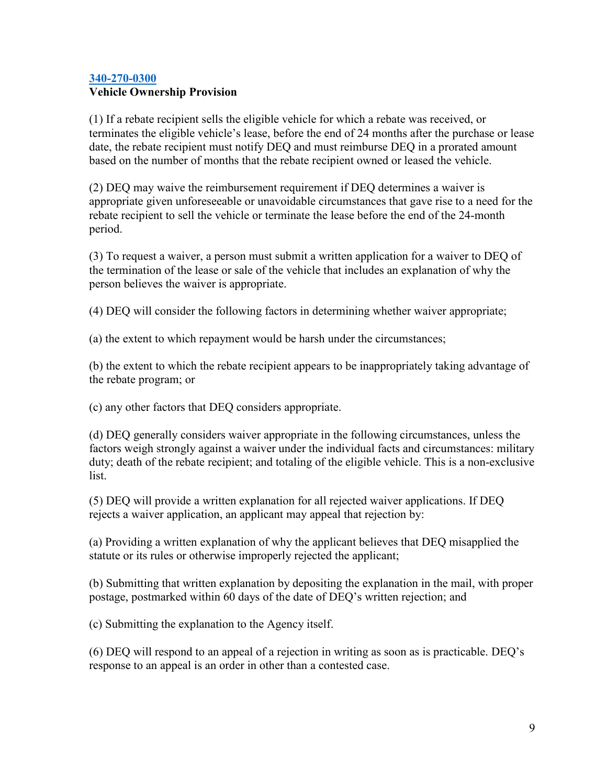# **[340-270-0300](https://secure.sos.state.or.us/oard/viewSingleRule.action?ruleVrsnRsn=244927) Vehicle Ownership Provision**

(1) If a rebate recipient sells the eligible vehicle for which a rebate was received, or terminates the eligible vehicle's lease, before the end of 24 months after the purchase or lease date, the rebate recipient must notify DEQ and must reimburse DEQ in a prorated amount based on the number of months that the rebate recipient owned or leased the vehicle.

(2) DEQ may waive the reimbursement requirement if DEQ determines a waiver is appropriate given unforeseeable or unavoidable circumstances that gave rise to a need for the rebate recipient to sell the vehicle or terminate the lease before the end of the 24-month period.

(3) To request a waiver, a person must submit a written application for a waiver to DEQ of the termination of the lease or sale of the vehicle that includes an explanation of why the person believes the waiver is appropriate.

(4) DEQ will consider the following factors in determining whether waiver appropriate;

(a) the extent to which repayment would be harsh under the circumstances;

(b) the extent to which the rebate recipient appears to be inappropriately taking advantage of the rebate program; or

(c) any other factors that DEQ considers appropriate.

(d) DEQ generally considers waiver appropriate in the following circumstances, unless the factors weigh strongly against a waiver under the individual facts and circumstances: military duty; death of the rebate recipient; and totaling of the eligible vehicle. This is a non-exclusive list.

(5) DEQ will provide a written explanation for all rejected waiver applications. If DEQ rejects a waiver application, an applicant may appeal that rejection by:

(a) Providing a written explanation of why the applicant believes that DEQ misapplied the statute or its rules or otherwise improperly rejected the applicant;

(b) Submitting that written explanation by depositing the explanation in the mail, with proper postage, postmarked within 60 days of the date of DEQ's written rejection; and

(c) Submitting the explanation to the Agency itself.

(6) DEQ will respond to an appeal of a rejection in writing as soon as is practicable. DEQ's response to an appeal is an order in other than a contested case.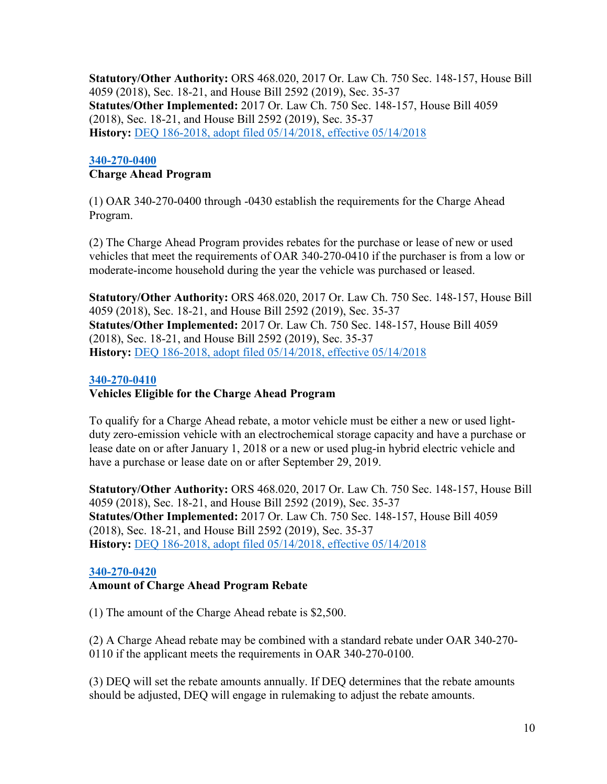**Statutory/Other Authority:** ORS 468.020, 2017 Or. Law Ch. 750 Sec. 148-157, House Bill 4059 (2018), Sec. 18-21, and House Bill 2592 (2019), Sec. 35-37 **Statutes/Other Implemented:** 2017 Or. Law Ch. 750 Sec. 148-157, House Bill 4059 (2018), Sec. 18-21, and House Bill 2592 (2019), Sec. 35-37 **History:** [DEQ 186-2018, adopt filed 05/14/2018, effective 05/14/2018](https://secure.sos.state.or.us/oard/viewReceiptPDF.action?filingRsn=37756)

#### **[340-270-0400](https://secure.sos.state.or.us/oard/viewSingleRule.action?ruleVrsnRsn=244928) Charge Ahead Program**

(1) OAR 340-270-0400 through -0430 establish the requirements for the Charge Ahead Program.

(2) The Charge Ahead Program provides rebates for the purchase or lease of new or used vehicles that meet the requirements of OAR 340-270-0410 if the purchaser is from a low or moderate-income household during the year the vehicle was purchased or leased.

**Statutory/Other Authority:** ORS 468.020, 2017 Or. Law Ch. 750 Sec. 148-157, House Bill 4059 (2018), Sec. 18-21, and House Bill 2592 (2019), Sec. 35-37 **Statutes/Other Implemented:** 2017 Or. Law Ch. 750 Sec. 148-157, House Bill 4059 (2018), Sec. 18-21, and House Bill 2592 (2019), Sec. 35-37 **History:** [DEQ 186-2018, adopt filed 05/14/2018, effective 05/14/2018](https://secure.sos.state.or.us/oard/viewReceiptPDF.action?filingRsn=37756)

# **[340-270-0410](https://secure.sos.state.or.us/oard/viewSingleRule.action?ruleVrsnRsn=244929)**

# **Vehicles Eligible for the Charge Ahead Program**

To qualify for a Charge Ahead rebate, a motor vehicle must be either a new or used lightduty zero-emission vehicle with an electrochemical storage capacity and have a purchase or lease date on or after January 1, 2018 or a new or used plug-in hybrid electric vehicle and have a purchase or lease date on or after September 29, 2019.

**Statutory/Other Authority:** ORS 468.020, 2017 Or. Law Ch. 750 Sec. 148-157, House Bill 4059 (2018), Sec. 18-21, and House Bill 2592 (2019), Sec. 35-37 **Statutes/Other Implemented:** 2017 Or. Law Ch. 750 Sec. 148-157, House Bill 4059 (2018), Sec. 18-21, and House Bill 2592 (2019), Sec. 35-37 **History:** [DEQ 186-2018, adopt filed 05/14/2018, effective 05/14/2018](https://secure.sos.state.or.us/oard/viewReceiptPDF.action?filingRsn=37756)

# **[340-270-0420](https://secure.sos.state.or.us/oard/viewSingleRule.action?ruleVrsnRsn=244930)**

# **Amount of Charge Ahead Program Rebate**

(1) The amount of the Charge Ahead rebate is \$2,500.

(2) A Charge Ahead rebate may be combined with a standard rebate under OAR 340-270- 0110 if the applicant meets the requirements in OAR 340-270-0100.

(3) DEQ will set the rebate amounts annually. If DEQ determines that the rebate amounts should be adjusted, DEQ will engage in rulemaking to adjust the rebate amounts.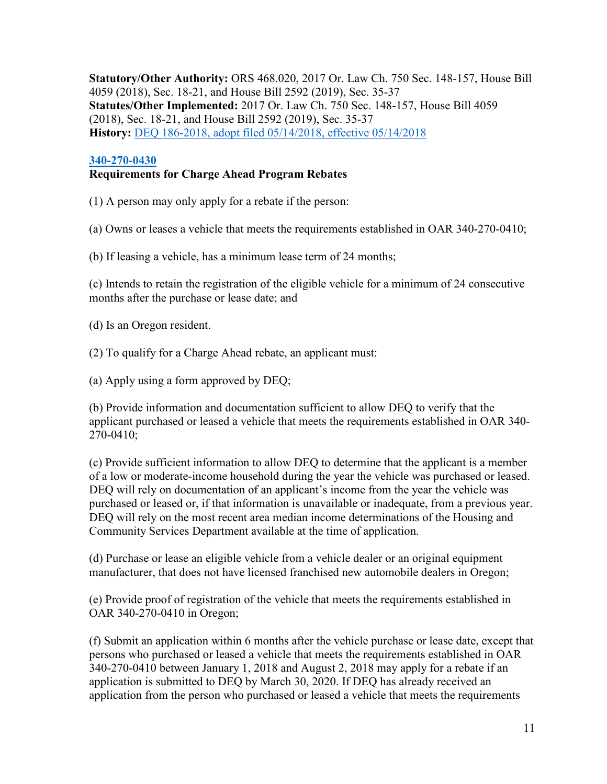**Statutory/Other Authority:** ORS 468.020, 2017 Or. Law Ch. 750 Sec. 148-157, House Bill 4059 (2018), Sec. 18-21, and House Bill 2592 (2019), Sec. 35-37 **Statutes/Other Implemented:** 2017 Or. Law Ch. 750 Sec. 148-157, House Bill 4059 (2018), Sec. 18-21, and House Bill 2592 (2019), Sec. 35-37 **History:** [DEQ 186-2018, adopt filed 05/14/2018, effective 05/14/2018](https://secure.sos.state.or.us/oard/viewReceiptPDF.action?filingRsn=37756)

#### **[340-270-0430](https://secure.sos.state.or.us/oard/viewSingleRule.action?ruleVrsnRsn=244931)**

# **Requirements for Charge Ahead Program Rebates**

(1) A person may only apply for a rebate if the person:

(a) Owns or leases a vehicle that meets the requirements established in OAR 340-270-0410;

(b) If leasing a vehicle, has a minimum lease term of 24 months;

(c) Intends to retain the registration of the eligible vehicle for a minimum of 24 consecutive months after the purchase or lease date; and

(d) Is an Oregon resident.

- (2) To qualify for a Charge Ahead rebate, an applicant must:
- (a) Apply using a form approved by DEQ;

(b) Provide information and documentation sufficient to allow DEQ to verify that the applicant purchased or leased a vehicle that meets the requirements established in OAR 340- 270-0410;

(c) Provide sufficient information to allow DEQ to determine that the applicant is a member of a low or moderate-income household during the year the vehicle was purchased or leased. DEQ will rely on documentation of an applicant's income from the year the vehicle was purchased or leased or, if that information is unavailable or inadequate, from a previous year. DEQ will rely on the most recent area median income determinations of the Housing and Community Services Department available at the time of application.

(d) Purchase or lease an eligible vehicle from a vehicle dealer or an original equipment manufacturer, that does not have licensed franchised new automobile dealers in Oregon;

(e) Provide proof of registration of the vehicle that meets the requirements established in OAR 340-270-0410 in Oregon;

(f) Submit an application within 6 months after the vehicle purchase or lease date, except that persons who purchased or leased a vehicle that meets the requirements established in OAR 340-270-0410 between January 1, 2018 and August 2, 2018 may apply for a rebate if an application is submitted to DEQ by March 30, 2020. If DEQ has already received an application from the person who purchased or leased a vehicle that meets the requirements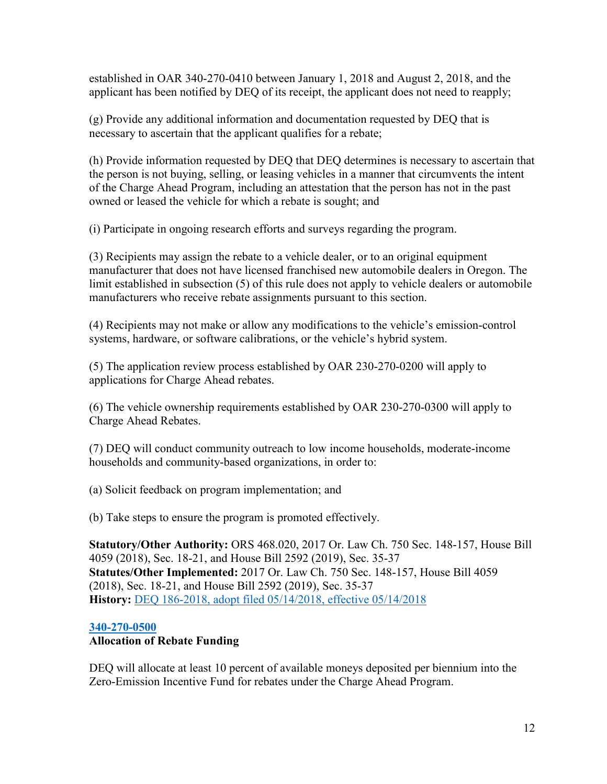established in OAR 340-270-0410 between January 1, 2018 and August 2, 2018, and the applicant has been notified by DEQ of its receipt, the applicant does not need to reapply;

(g) Provide any additional information and documentation requested by DEQ that is necessary to ascertain that the applicant qualifies for a rebate;

(h) Provide information requested by DEQ that DEQ determines is necessary to ascertain that the person is not buying, selling, or leasing vehicles in a manner that circumvents the intent of the Charge Ahead Program, including an attestation that the person has not in the past owned or leased the vehicle for which a rebate is sought; and

(i) Participate in ongoing research efforts and surveys regarding the program.

(3) Recipients may assign the rebate to a vehicle dealer, or to an original equipment manufacturer that does not have licensed franchised new automobile dealers in Oregon. The limit established in subsection (5) of this rule does not apply to vehicle dealers or automobile manufacturers who receive rebate assignments pursuant to this section.

(4) Recipients may not make or allow any modifications to the vehicle's emission-control systems, hardware, or software calibrations, or the vehicle's hybrid system.

(5) The application review process established by OAR 230-270-0200 will apply to applications for Charge Ahead rebates.

(6) The vehicle ownership requirements established by OAR 230-270-0300 will apply to Charge Ahead Rebates.

(7) DEQ will conduct community outreach to low income households, moderate-income households and community-based organizations, in order to:

(a) Solicit feedback on program implementation; and

(b) Take steps to ensure the program is promoted effectively.

**Statutory/Other Authority:** ORS 468.020, 2017 Or. Law Ch. 750 Sec. 148-157, House Bill 4059 (2018), Sec. 18-21, and House Bill 2592 (2019), Sec. 35-37 **Statutes/Other Implemented:** 2017 Or. Law Ch. 750 Sec. 148-157, House Bill 4059 (2018), Sec. 18-21, and House Bill 2592 (2019), Sec. 35-37 **History:** [DEQ 186-2018, adopt filed 05/14/2018, effective 05/14/2018](https://secure.sos.state.or.us/oard/viewReceiptPDF.action?filingRsn=37756)

# **[340-270-0500](https://secure.sos.state.or.us/oard/viewSingleRule.action?ruleVrsnRsn=244933)**

# **Allocation of Rebate Funding**

DEQ will allocate at least 10 percent of available moneys deposited per biennium into the Zero-Emission Incentive Fund for rebates under the Charge Ahead Program.